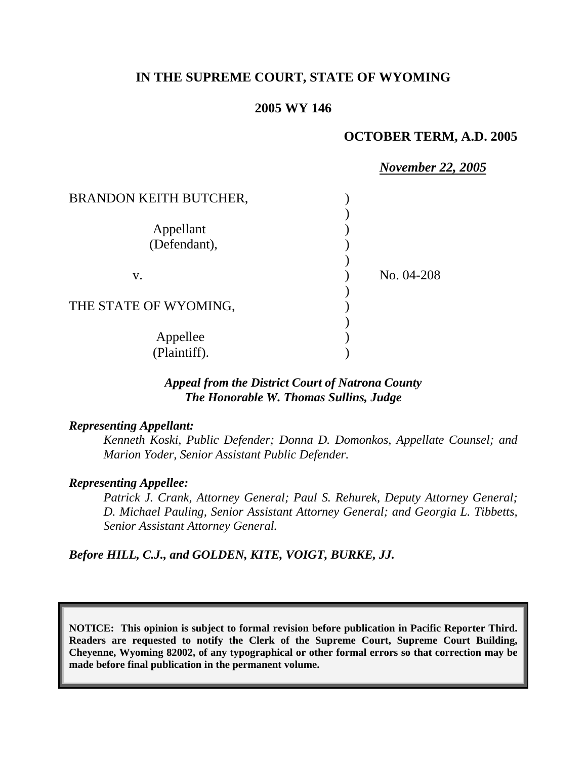## **IN THE SUPREME COURT, STATE OF WYOMING**

## **2005 WY 146**

## **OCTOBER TERM, A.D. 2005**

|                               | <b>November 22, 2005</b> |
|-------------------------------|--------------------------|
| <b>BRANDON KEITH BUTCHER,</b> |                          |
|                               |                          |
| Appellant                     |                          |
| (Defendant),                  |                          |
|                               |                          |
| V.                            | No. 04-208               |
|                               |                          |
| THE STATE OF WYOMING,         |                          |
|                               |                          |
| Appellee                      |                          |
| (Plaintiff).                  |                          |

### *Appeal from the District Court of Natrona County The Honorable W. Thomas Sullins, Judge*

#### *Representing Appellant:*

*Kenneth Koski, Public Defender; Donna D. Domonkos, Appellate Counsel; and Marion Yoder, Senior Assistant Public Defender.*

### *Representing Appellee:*

*Patrick J. Crank, Attorney General; Paul S. Rehurek, Deputy Attorney General; D. Michael Pauling, Senior Assistant Attorney General; and Georgia L. Tibbetts, Senior Assistant Attorney General.* 

## *Before HILL, C.J., and GOLDEN, KITE, VOIGT, BURKE, JJ.*

**NOTICE: This opinion is subject to formal revision before publication in Pacific Reporter Third. Readers are requested to notify the Clerk of the Supreme Court, Supreme Court Building, Cheyenne, Wyoming 82002, of any typographical or other formal errors so that correction may be made before final publication in the permanent volume.**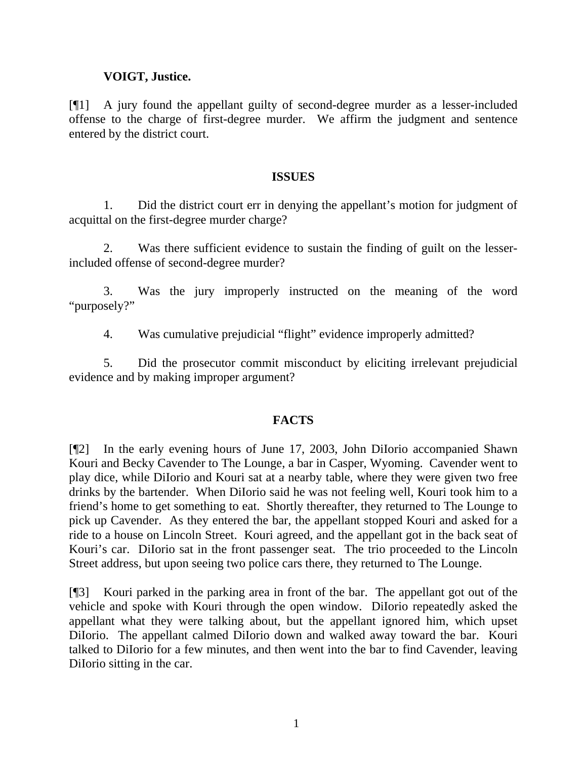## **VOIGT, Justice.**

[¶1] A jury found the appellant guilty of second-degree murder as a lesser-included offense to the charge of first-degree murder. We affirm the judgment and sentence entered by the district court.

### **ISSUES**

 1. Did the district court err in denying the appellant's motion for judgment of acquittal on the first-degree murder charge?

 2. Was there sufficient evidence to sustain the finding of guilt on the lesserincluded offense of second-degree murder?

 3. Was the jury improperly instructed on the meaning of the word "purposely?"

4. Was cumulative prejudicial "flight" evidence improperly admitted?

5. Did the prosecutor commit misconduct by eliciting irrelevant prejudicial evidence and by making improper argument?

### **FACTS**

[¶2] In the early evening hours of June 17, 2003, John DiIorio accompanied Shawn Kouri and Becky Cavender to The Lounge, a bar in Casper, Wyoming. Cavender went to play dice, while DiIorio and Kouri sat at a nearby table, where they were given two free drinks by the bartender. When DiIorio said he was not feeling well, Kouri took him to a friend's home to get something to eat. Shortly thereafter, they returned to The Lounge to pick up Cavender. As they entered the bar, the appellant stopped Kouri and asked for a ride to a house on Lincoln Street. Kouri agreed, and the appellant got in the back seat of Kouri's car. DiIorio sat in the front passenger seat. The trio proceeded to the Lincoln Street address, but upon seeing two police cars there, they returned to The Lounge.

[¶3] Kouri parked in the parking area in front of the bar. The appellant got out of the vehicle and spoke with Kouri through the open window. DiIorio repeatedly asked the appellant what they were talking about, but the appellant ignored him, which upset DiIorio. The appellant calmed DiIorio down and walked away toward the bar. Kouri talked to DiIorio for a few minutes, and then went into the bar to find Cavender, leaving DiIorio sitting in the car.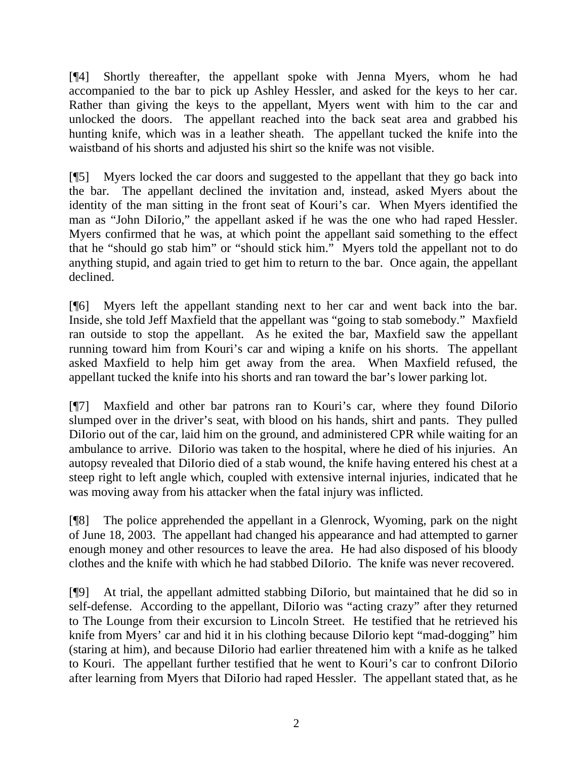[¶4] Shortly thereafter, the appellant spoke with Jenna Myers, whom he had accompanied to the bar to pick up Ashley Hessler, and asked for the keys to her car. Rather than giving the keys to the appellant, Myers went with him to the car and unlocked the doors. The appellant reached into the back seat area and grabbed his hunting knife, which was in a leather sheath. The appellant tucked the knife into the waistband of his shorts and adjusted his shirt so the knife was not visible.

[¶5] Myers locked the car doors and suggested to the appellant that they go back into the bar. The appellant declined the invitation and, instead, asked Myers about the identity of the man sitting in the front seat of Kouri's car. When Myers identified the man as "John DiIorio," the appellant asked if he was the one who had raped Hessler. Myers confirmed that he was, at which point the appellant said something to the effect that he "should go stab him" or "should stick him." Myers told the appellant not to do anything stupid, and again tried to get him to return to the bar. Once again, the appellant declined.

[¶6] Myers left the appellant standing next to her car and went back into the bar. Inside, she told Jeff Maxfield that the appellant was "going to stab somebody." Maxfield ran outside to stop the appellant. As he exited the bar, Maxfield saw the appellant running toward him from Kouri's car and wiping a knife on his shorts. The appellant asked Maxfield to help him get away from the area. When Maxfield refused, the appellant tucked the knife into his shorts and ran toward the bar's lower parking lot.

[¶7] Maxfield and other bar patrons ran to Kouri's car, where they found DiIorio slumped over in the driver's seat, with blood on his hands, shirt and pants. They pulled DiIorio out of the car, laid him on the ground, and administered CPR while waiting for an ambulance to arrive. DiIorio was taken to the hospital, where he died of his injuries. An autopsy revealed that DiIorio died of a stab wound, the knife having entered his chest at a steep right to left angle which, coupled with extensive internal injuries, indicated that he was moving away from his attacker when the fatal injury was inflicted.

[¶8] The police apprehended the appellant in a Glenrock, Wyoming, park on the night of June 18, 2003. The appellant had changed his appearance and had attempted to garner enough money and other resources to leave the area. He had also disposed of his bloody clothes and the knife with which he had stabbed DiIorio. The knife was never recovered.

[¶9] At trial, the appellant admitted stabbing DiIorio, but maintained that he did so in self-defense. According to the appellant, DiIorio was "acting crazy" after they returned to The Lounge from their excursion to Lincoln Street. He testified that he retrieved his knife from Myers' car and hid it in his clothing because DiIorio kept "mad-dogging" him (staring at him), and because DiIorio had earlier threatened him with a knife as he talked to Kouri. The appellant further testified that he went to Kouri's car to confront DiIorio after learning from Myers that DiIorio had raped Hessler. The appellant stated that, as he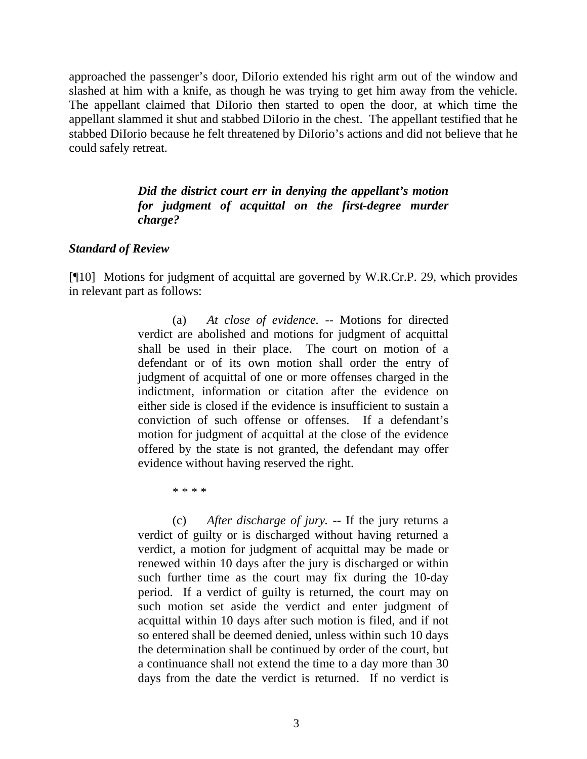approached the passenger's door, DiIorio extended his right arm out of the window and slashed at him with a knife, as though he was trying to get him away from the vehicle. The appellant claimed that DiIorio then started to open the door, at which time the appellant slammed it shut and stabbed DiIorio in the chest. The appellant testified that he stabbed DiIorio because he felt threatened by DiIorio's actions and did not believe that he could safely retreat.

## *Did the district court err in denying the appellant's motion for judgment of acquittal on the first-degree murder charge?*

### *Standard of Review*

[¶10] Motions for judgment of acquittal are governed by W.R.Cr.P. 29, which provides in relevant part as follows:

> (a) *At close of evidence.* -- Motions for directed verdict are abolished and motions for judgment of acquittal shall be used in their place. The court on motion of a defendant or of its own motion shall order the entry of judgment of acquittal of one or more offenses charged in the indictment, information or citation after the evidence on either side is closed if the evidence is insufficient to sustain a conviction of such offense or offenses. If a defendant's motion for judgment of acquittal at the close of the evidence offered by the state is not granted, the defendant may offer evidence without having reserved the right.

> > \* \* \* \*

 (c) *After discharge of jury.* -- If the jury returns a verdict of guilty or is discharged without having returned a verdict, a motion for judgment of acquittal may be made or renewed within 10 days after the jury is discharged or within such further time as the court may fix during the 10-day period. If a verdict of guilty is returned, the court may on such motion set aside the verdict and enter judgment of acquittal within 10 days after such motion is filed, and if not so entered shall be deemed denied, unless within such 10 days the determination shall be continued by order of the court, but a continuance shall not extend the time to a day more than 30 days from the date the verdict is returned. If no verdict is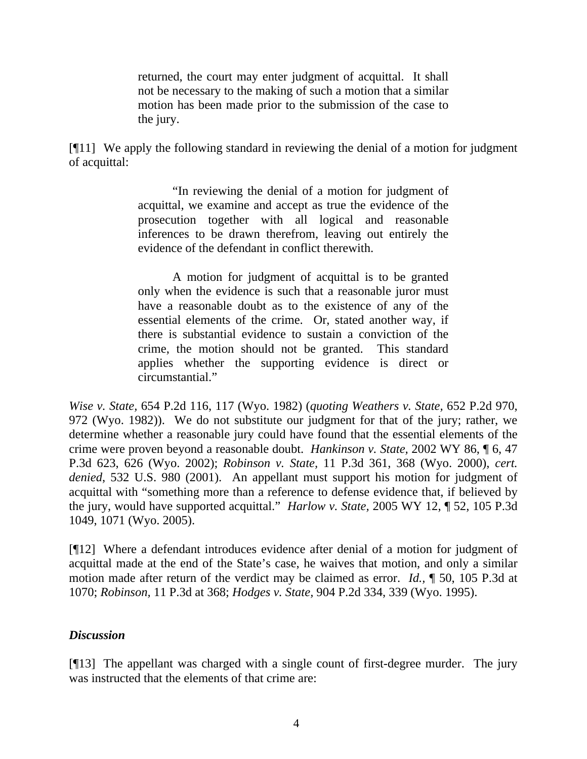returned, the court may enter judgment of acquittal. It shall not be necessary to the making of such a motion that a similar motion has been made prior to the submission of the case to the jury.

[¶11] We apply the following standard in reviewing the denial of a motion for judgment of acquittal:

> "In reviewing the denial of a motion for judgment of acquittal, we examine and accept as true the evidence of the prosecution together with all logical and reasonable inferences to be drawn therefrom, leaving out entirely the evidence of the defendant in conflict therewith.

> A motion for judgment of acquittal is to be granted only when the evidence is such that a reasonable juror must have a reasonable doubt as to the existence of any of the essential elements of the crime. Or, stated another way, if there is substantial evidence to sustain a conviction of the crime, the motion should not be granted. This standard applies whether the supporting evidence is direct or circumstantial."

*Wise v. State,* 654 P.2d 116, 117 (Wyo. 1982) (*quoting Weathers v. State,* 652 P.2d 970, 972 (Wyo. 1982)). We do not substitute our judgment for that of the jury; rather, we determine whether a reasonable jury could have found that the essential elements of the crime were proven beyond a reasonable doubt. *Hankinson v. State,* 2002 WY 86, ¶ 6, 47 P.3d 623, 626 (Wyo. 2002); *Robinson v. State,* 11 P.3d 361, 368 (Wyo. 2000), *cert. denied*, 532 U.S. 980 (2001). An appellant must support his motion for judgment of acquittal with "something more than a reference to defense evidence that, if believed by the jury, would have supported acquittal." *Harlow v. State,* 2005 WY 12, ¶ 52, 105 P.3d 1049, 1071 (Wyo. 2005).

[¶12] Where a defendant introduces evidence after denial of a motion for judgment of acquittal made at the end of the State's case, he waives that motion, and only a similar motion made after return of the verdict may be claimed as error. *Id.,* ¶ 50, 105 P.3d at 1070; *Robinson,* 11 P.3d at 368; *Hodges v. State,* 904 P.2d 334, 339 (Wyo. 1995).

## *Discussion*

[¶13] The appellant was charged with a single count of first-degree murder. The jury was instructed that the elements of that crime are: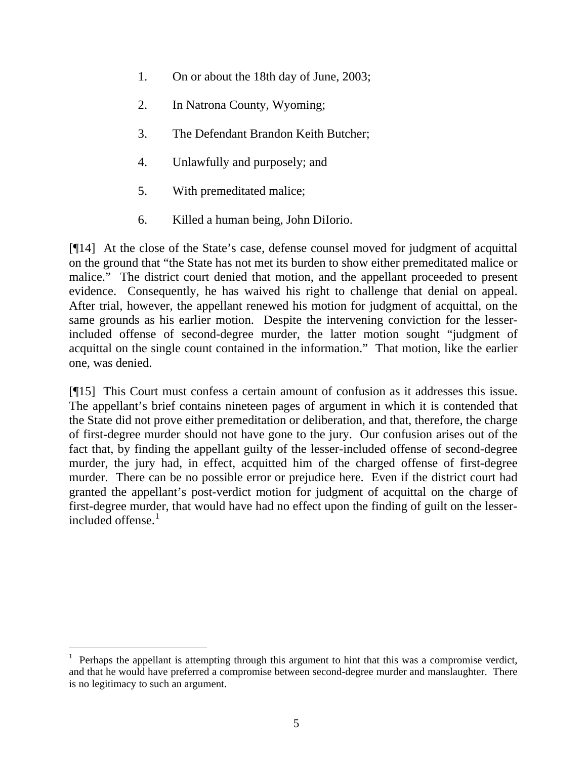- 1. On or about the 18th day of June, 2003;
- 2. In Natrona County, Wyoming;
- 3. The Defendant Brandon Keith Butcher;
- 4. Unlawfully and purposely; and
- 5. With premeditated malice;
- 6. Killed a human being, John DiIorio.

[¶14] At the close of the State's case, defense counsel moved for judgment of acquittal on the ground that "the State has not met its burden to show either premeditated malice or malice." The district court denied that motion, and the appellant proceeded to present evidence. Consequently, he has waived his right to challenge that denial on appeal. After trial, however, the appellant renewed his motion for judgment of acquittal, on the same grounds as his earlier motion. Despite the intervening conviction for the lesserincluded offense of second-degree murder, the latter motion sought "judgment of acquittal on the single count contained in the information." That motion, like the earlier one, was denied.

[¶15] This Court must confess a certain amount of confusion as it addresses this issue. The appellant's brief contains nineteen pages of argument in which it is contended that the State did not prove either premeditation or deliberation, and that, therefore, the charge of first-degree murder should not have gone to the jury. Our confusion arises out of the fact that, by finding the appellant guilty of the lesser-included offense of second-degree murder, the jury had, in effect, acquitted him of the charged offense of first-degree murder. There can be no possible error or prejudice here. Even if the district court had granted the appellant's post-verdict motion for judgment of acquittal on the charge of first-degree murder, that would have had no effect upon the finding of guilt on the lesserincluded offense. $<sup>1</sup>$  $<sup>1</sup>$  $<sup>1</sup>$ </sup>

<span id="page-5-0"></span><sup>1</sup> Perhaps the appellant is attempting through this argument to hint that this was a compromise verdict, and that he would have preferred a compromise between second-degree murder and manslaughter. There is no legitimacy to such an argument.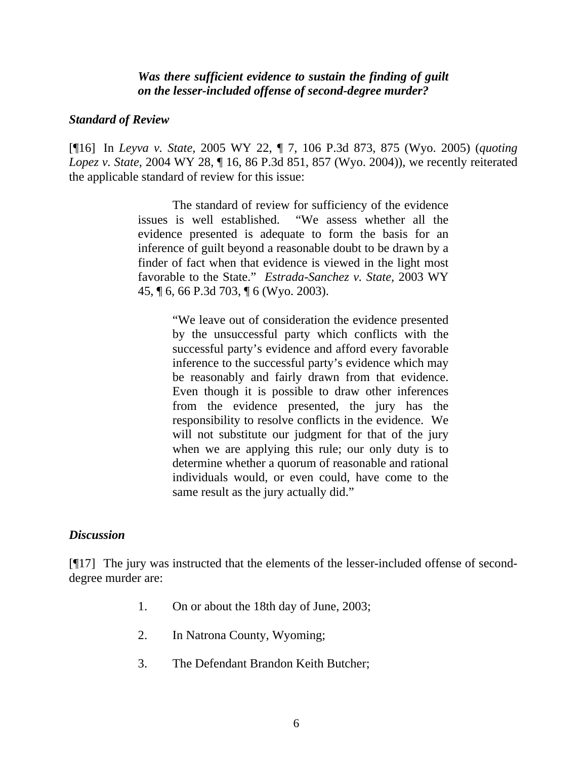*Was there sufficient evidence to sustain the finding of guilt on the lesser-included offense of second-degree murder?* 

#### *Standard of Review*

[¶16] In *Leyva v. State,* 2005 WY 22, ¶ 7, 106 P.3d 873, 875 (Wyo. 2005) (*quoting Lopez v. State,* 2004 WY 28, ¶ 16, 86 P.3d 851, 857 (Wyo. 2004)), we recently reiterated the applicable standard of review for this issue:

> The standard of review for sufficiency of the evidence issues is well established. "We assess whether all the evidence presented is adequate to form the basis for an inference of guilt beyond a reasonable doubt to be drawn by a finder of fact when that evidence is viewed in the light most favorable to the State." *Estrada-Sanchez v. State,* 2003 WY 45, ¶ 6, 66 P.3d 703, ¶ 6 (Wyo. 2003).

> > "We leave out of consideration the evidence presented by the unsuccessful party which conflicts with the successful party's evidence and afford every favorable inference to the successful party's evidence which may be reasonably and fairly drawn from that evidence. Even though it is possible to draw other inferences from the evidence presented, the jury has the responsibility to resolve conflicts in the evidence. We will not substitute our judgment for that of the jury when we are applying this rule; our only duty is to determine whether a quorum of reasonable and rational individuals would, or even could, have come to the same result as the jury actually did."

### *Discussion*

[¶17] The jury was instructed that the elements of the lesser-included offense of seconddegree murder are:

- 1. On or about the 18th day of June, 2003;
- 2. In Natrona County, Wyoming;
- 3. The Defendant Brandon Keith Butcher;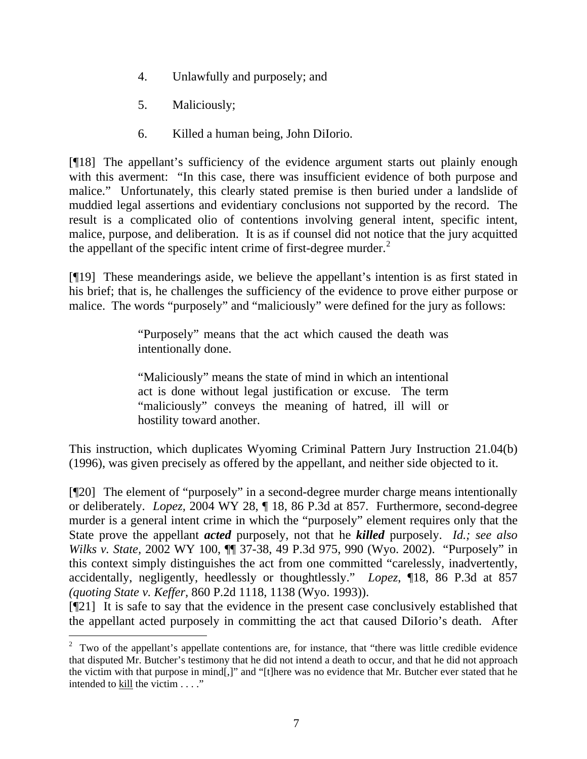- 4. Unlawfully and purposely; and
- 5. Maliciously;

l

6. Killed a human being, John DiIorio.

[¶18] The appellant's sufficiency of the evidence argument starts out plainly enough with this averment: "In this case, there was insufficient evidence of both purpose and malice." Unfortunately, this clearly stated premise is then buried under a landslide of muddied legal assertions and evidentiary conclusions not supported by the record. The result is a complicated olio of contentions involving general intent, specific intent, malice, purpose, and deliberation. It is as if counsel did not notice that the jury acquitted the appellant of the specific intent crime of first-degree murder. $<sup>2</sup>$  $<sup>2</sup>$  $<sup>2</sup>$ </sup>

[¶19] These meanderings aside, we believe the appellant's intention is as first stated in his brief; that is, he challenges the sufficiency of the evidence to prove either purpose or malice. The words "purposely" and "maliciously" were defined for the jury as follows:

> "Purposely" means that the act which caused the death was intentionally done.

> "Maliciously" means the state of mind in which an intentional act is done without legal justification or excuse. The term "maliciously" conveys the meaning of hatred, ill will or hostility toward another.

This instruction, which duplicates Wyoming Criminal Pattern Jury Instruction 21.04(b) (1996), was given precisely as offered by the appellant, and neither side objected to it.

[¶20] The element of "purposely" in a second-degree murder charge means intentionally or deliberately. *Lopez,* 2004 WY 28, ¶ 18, 86 P.3d at 857. Furthermore, second-degree murder is a general intent crime in which the "purposely" element requires only that the State prove the appellant *acted* purposely, not that he *killed* purposely. *Id.; see also Wilks v. State, 2002 WY 100,*  $\P$  37-38, 49 P.3d 975, 990 (Wyo. 2002). "Purposely" in this context simply distinguishes the act from one committed "carelessly, inadvertently, accidentally, negligently, heedlessly or thoughtlessly." *Lopez*, ¶18, 86 P.3d at 857 *(quoting State v. Keffer,* 860 P.2d 1118, 1138 (Wyo. 1993)).

[¶21] It is safe to say that the evidence in the present case conclusively established that the appellant acted purposely in committing the act that caused DiIorio's death. After

<span id="page-7-0"></span> $2$  Two of the appellant's appellate contentions are, for instance, that "there was little credible evidence that disputed Mr. Butcher's testimony that he did not intend a death to occur, and that he did not approach the victim with that purpose in mind[,]" and "[t]here was no evidence that Mr. Butcher ever stated that he intended to  $\underline{\text{kill}}$  the victim  $\ldots$ ."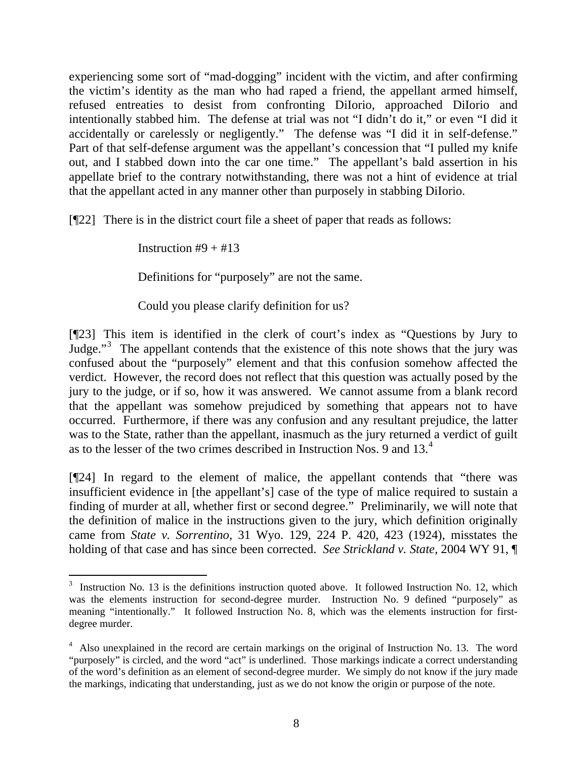experiencing some sort of "mad-dogging" incident with the victim, and after confirming the victim's identity as the man who had raped a friend, the appellant armed himself, refused entreaties to desist from confronting DiIorio, approached DiIorio and intentionally stabbed him. The defense at trial was not "I didn't do it," or even "I did it accidentally or carelessly or negligently." The defense was "I did it in self-defense." Part of that self-defense argument was the appellant's concession that "I pulled my knife out, and I stabbed down into the car one time." The appellant's bald assertion in his appellate brief to the contrary notwithstanding, there was not a hint of evidence at trial that the appellant acted in any manner other than purposely in stabbing DiIorio.

[¶22] There is in the district court file a sheet of paper that reads as follows:

Instruction  $#9 + #13$ 

Definitions for "purposely" are not the same.

Could you please clarify definition for us?

[¶23] This item is identified in the clerk of court's index as "Questions by Jury to Judge."<sup>[3](#page-8-0)</sup> The appellant contends that the existence of this note shows that the jury was confused about the "purposely" element and that this confusion somehow affected the verdict. However, the record does not reflect that this question was actually posed by the jury to the judge, or if so, how it was answered. We cannot assume from a blank record that the appellant was somehow prejudiced by something that appears not to have occurred. Furthermore, if there was any confusion and any resultant prejudice, the latter was to the State, rather than the appellant, inasmuch as the jury returned a verdict of guilt as to the lesser of the two crimes described in Instruction Nos. 9 and 13.[4](#page-8-1)

[¶24] In regard to the element of malice, the appellant contends that "there was insufficient evidence in [the appellant's] case of the type of malice required to sustain a finding of murder at all, whether first or second degree." Preliminarily, we will note that the definition of malice in the instructions given to the jury, which definition originally came from *State v. Sorrentino,* 31 Wyo. 129, 224 P. 420, 423 (1924), misstates the holding of that case and has since been corrected. *See Strickland v. State,* 2004 WY 91, ¶

<span id="page-8-0"></span> $3$  Instruction No. 13 is the definitions instruction quoted above. It followed Instruction No. 12, which was the elements instruction for second-degree murder. Instruction No. 9 defined "purposely" as meaning "intentionally." It followed Instruction No. 8, which was the elements instruction for firstdegree murder.

<span id="page-8-1"></span><sup>&</sup>lt;sup>4</sup> Also unexplained in the record are certain markings on the original of Instruction No. 13. The word "purposely" is circled, and the word "act" is underlined. Those markings indicate a correct understanding of the word's definition as an element of second-degree murder. We simply do not know if the jury made the markings, indicating that understanding, just as we do not know the origin or purpose of the note.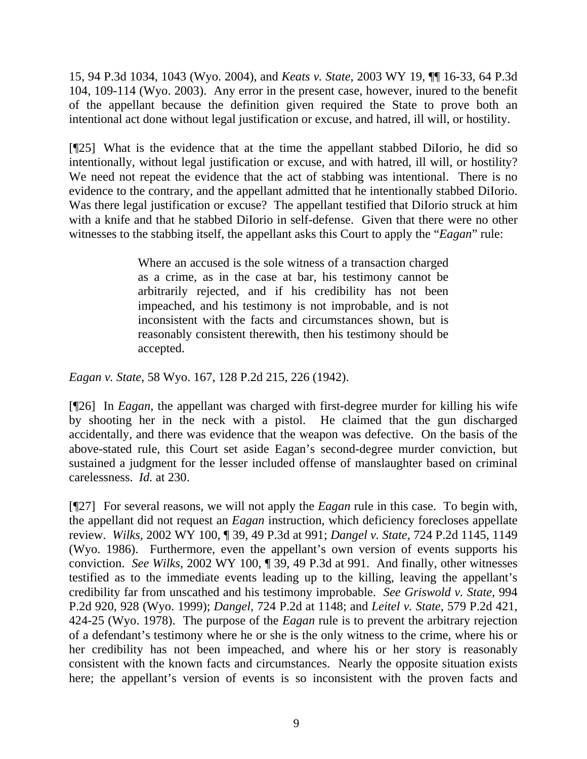15, 94 P.3d 1034, 1043 (Wyo. 2004), and *Keats v. State,* 2003 WY 19, ¶¶ 16-33, 64 P.3d 104, 109-114 (Wyo. 2003). Any error in the present case, however, inured to the benefit of the appellant because the definition given required the State to prove both an intentional act done without legal justification or excuse, and hatred, ill will, or hostility.

[¶25] What is the evidence that at the time the appellant stabbed DiIorio, he did so intentionally, without legal justification or excuse, and with hatred, ill will, or hostility? We need not repeat the evidence that the act of stabbing was intentional. There is no evidence to the contrary, and the appellant admitted that he intentionally stabbed DiIorio. Was there legal justification or excuse? The appellant testified that DiIorio struck at him with a knife and that he stabbed DiIorio in self-defense. Given that there were no other witnesses to the stabbing itself, the appellant asks this Court to apply the "*Eagan*" rule:

> Where an accused is the sole witness of a transaction charged as a crime, as in the case at bar, his testimony cannot be arbitrarily rejected, and if his credibility has not been impeached, and his testimony is not improbable, and is not inconsistent with the facts and circumstances shown, but is reasonably consistent therewith, then his testimony should be accepted.

*Eagan v. State*, 58 Wyo. 167, 128 P.2d 215, 226 (1942).

[¶26] In *Eagan*, the appellant was charged with first-degree murder for killing his wife by shooting her in the neck with a pistol. He claimed that the gun discharged accidentally, and there was evidence that the weapon was defective. On the basis of the above-stated rule, this Court set aside Eagan's second-degree murder conviction, but sustained a judgment for the lesser included offense of manslaughter based on criminal carelessness. *Id.* at 230.

[¶27] For several reasons, we will not apply the *Eagan* rule in this case. To begin with, the appellant did not request an *Eagan* instruction, which deficiency forecloses appellate review. *Wilks,* 2002 WY 100, ¶ 39, 49 P.3d at 991; *Dangel v. State,* 724 P.2d 1145, 1149 (Wyo. 1986). Furthermore, even the appellant's own version of events supports his conviction. *See Wilks,* 2002 WY 100, ¶ 39, 49 P.3d at 991. And finally, other witnesses testified as to the immediate events leading up to the killing, leaving the appellant's credibility far from unscathed and his testimony improbable. *See Griswold v. State,* 994 P.2d 920, 928 (Wyo. 1999); *Dangel,* 724 P.2d at 1148; and *Leitel v. State,* 579 P.2d 421, 424-25 (Wyo. 1978). The purpose of the *Eagan* rule is to prevent the arbitrary rejection of a defendant's testimony where he or she is the only witness to the crime, where his or her credibility has not been impeached, and where his or her story is reasonably consistent with the known facts and circumstances. Nearly the opposite situation exists here; the appellant's version of events is so inconsistent with the proven facts and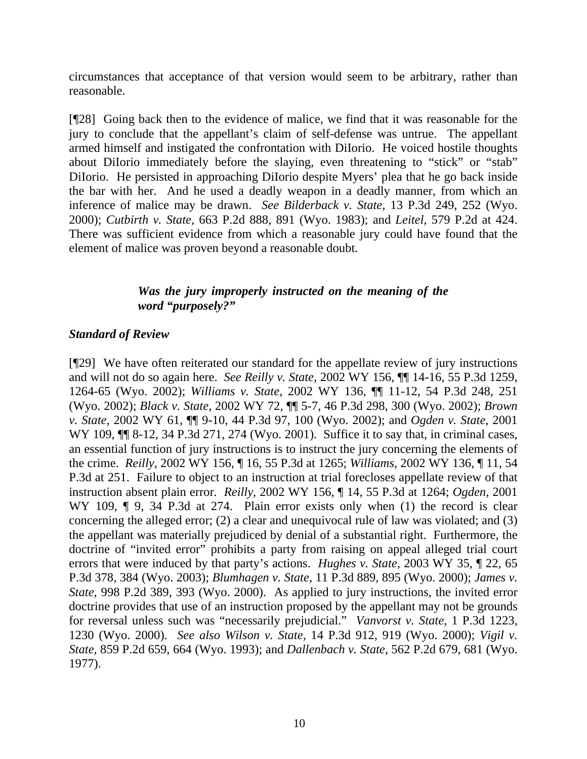circumstances that acceptance of that version would seem to be arbitrary, rather than reasonable.

[¶28] Going back then to the evidence of malice, we find that it was reasonable for the jury to conclude that the appellant's claim of self-defense was untrue. The appellant armed himself and instigated the confrontation with DiIorio. He voiced hostile thoughts about DiIorio immediately before the slaying, even threatening to "stick" or "stab" DiIorio. He persisted in approaching DiIorio despite Myers' plea that he go back inside the bar with her. And he used a deadly weapon in a deadly manner, from which an inference of malice may be drawn. *See Bilderback v. State,* 13 P.3d 249, 252 (Wyo. 2000); *Cutbirth v. State,* 663 P.2d 888, 891 (Wyo. 1983); and *Leitel,* 579 P.2d at 424. There was sufficient evidence from which a reasonable jury could have found that the element of malice was proven beyond a reasonable doubt.

## *Was the jury improperly instructed on the meaning of the word "purposely?"*

## *Standard of Review*

[¶29] We have often reiterated our standard for the appellate review of jury instructions and will not do so again here. *See Reilly v. State,* 2002 WY 156, ¶¶ 14-16, 55 P.3d 1259, 1264-65 (Wyo. 2002); *Williams v. State,* 2002 WY 136, ¶¶ 11-12, 54 P.3d 248, 251 (Wyo. 2002); *Black v. State,* 2002 WY 72, ¶¶ 5-7, 46 P.3d 298, 300 (Wyo. 2002); *Brown v. State,* 2002 WY 61, ¶¶ 9-10, 44 P.3d 97, 100 (Wyo. 2002); and *Ogden v. State,* 2001 WY 109,  $\P$  8-12, 34 P.3d 271, 274 (Wyo. 2001). Suffice it to say that, in criminal cases, an essential function of jury instructions is to instruct the jury concerning the elements of the crime. *Reilly,* 2002 WY 156, ¶ 16, 55 P.3d at 1265; *Williams,* 2002 WY 136, ¶ 11, 54 P.3d at 251. Failure to object to an instruction at trial forecloses appellate review of that instruction absent plain error. *Reilly,* 2002 WY 156, ¶ 14, 55 P.3d at 1264; *Ogden,* 2001 WY 109,  $\parallel$  9, 34 P.3d at 274. Plain error exists only when (1) the record is clear concerning the alleged error; (2) a clear and unequivocal rule of law was violated; and (3) the appellant was materially prejudiced by denial of a substantial right. Furthermore, the doctrine of "invited error" prohibits a party from raising on appeal alleged trial court errors that were induced by that party's actions. *Hughes v. State,* 2003 WY 35, ¶ 22, 65 P.3d 378, 384 (Wyo. 2003); *Blumhagen v. State,* 11 P.3d 889, 895 (Wyo. 2000); *James v. State,* 998 P.2d 389, 393 (Wyo. 2000). As applied to jury instructions, the invited error doctrine provides that use of an instruction proposed by the appellant may not be grounds for reversal unless such was "necessarily prejudicial." *Vanvorst v. State,* 1 P.3d 1223, 1230 (Wyo. 2000). *See also Wilson v. State,* 14 P.3d 912, 919 (Wyo. 2000); *Vigil v. State,* 859 P.2d 659, 664 (Wyo. 1993); and *Dallenbach v. State,* 562 P.2d 679, 681 (Wyo. 1977).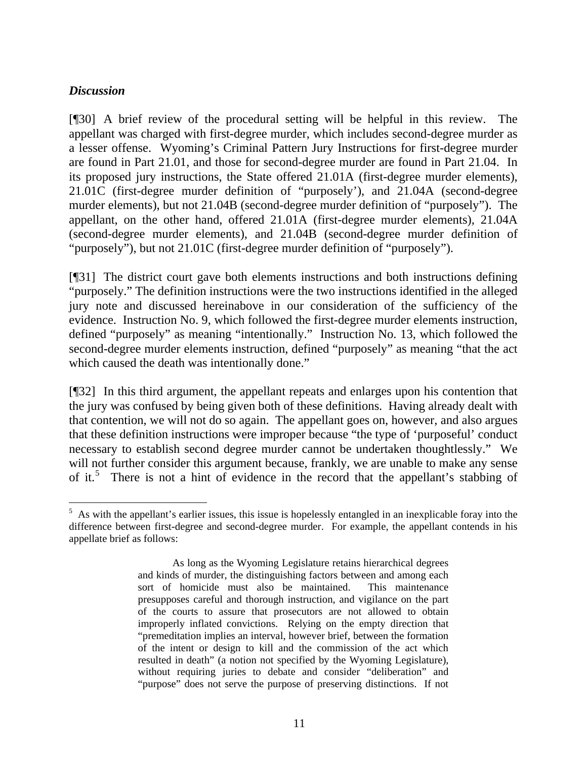## *Discussion*

l

[¶30] A brief review of the procedural setting will be helpful in this review. The appellant was charged with first-degree murder, which includes second-degree murder as a lesser offense. Wyoming's Criminal Pattern Jury Instructions for first-degree murder are found in Part 21.01, and those for second-degree murder are found in Part 21.04. In its proposed jury instructions, the State offered 21.01A (first-degree murder elements), 21.01C (first-degree murder definition of "purposely'), and 21.04A (second-degree murder elements), but not 21.04B (second-degree murder definition of "purposely"). The appellant, on the other hand, offered 21.01A (first-degree murder elements), 21.04A (second-degree murder elements), and 21.04B (second-degree murder definition of "purposely"), but not 21.01C (first-degree murder definition of "purposely").

[¶31] The district court gave both elements instructions and both instructions defining "purposely." The definition instructions were the two instructions identified in the alleged jury note and discussed hereinabove in our consideration of the sufficiency of the evidence. Instruction No. 9, which followed the first-degree murder elements instruction, defined "purposely" as meaning "intentionally." Instruction No. 13, which followed the second-degree murder elements instruction, defined "purposely" as meaning "that the act which caused the death was intentionally done."

[¶32] In this third argument, the appellant repeats and enlarges upon his contention that the jury was confused by being given both of these definitions. Having already dealt with that contention, we will not do so again. The appellant goes on, however, and also argues that these definition instructions were improper because "the type of 'purposeful' conduct necessary to establish second degree murder cannot be undertaken thoughtlessly." We will not further consider this argument because, frankly, we are unable to make any sense of it.<sup>[5](#page-11-0)</sup> There is not a hint of evidence in the record that the appellant's stabbing of

<span id="page-11-0"></span> $<sup>5</sup>$  As with the appellant's earlier issues, this issue is hopelessly entangled in an inexplicable foray into the</sup> difference between first-degree and second-degree murder. For example, the appellant contends in his appellate brief as follows:

As long as the Wyoming Legislature retains hierarchical degrees and kinds of murder, the distinguishing factors between and among each sort of homicide must also be maintained. This maintenance presupposes careful and thorough instruction, and vigilance on the part of the courts to assure that prosecutors are not allowed to obtain improperly inflated convictions. Relying on the empty direction that "premeditation implies an interval, however brief, between the formation of the intent or design to kill and the commission of the act which resulted in death" (a notion not specified by the Wyoming Legislature), without requiring juries to debate and consider "deliberation" and "purpose" does not serve the purpose of preserving distinctions. If not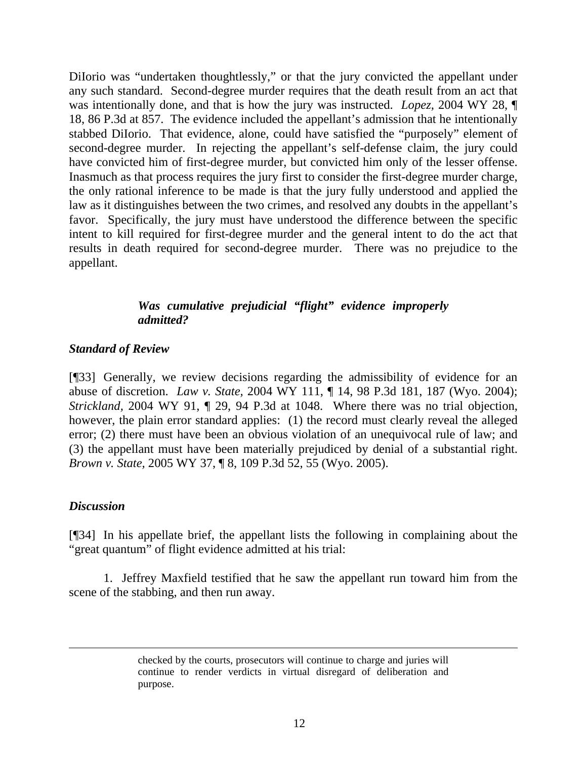DiIorio was "undertaken thoughtlessly," or that the jury convicted the appellant under any such standard. Second-degree murder requires that the death result from an act that was intentionally done, and that is how the jury was instructed. *Lopez,* 2004 WY 28, ¶ 18, 86 P.3d at 857. The evidence included the appellant's admission that he intentionally stabbed DiIorio. That evidence, alone, could have satisfied the "purposely" element of second-degree murder. In rejecting the appellant's self-defense claim, the jury could have convicted him of first-degree murder, but convicted him only of the lesser offense. Inasmuch as that process requires the jury first to consider the first-degree murder charge, the only rational inference to be made is that the jury fully understood and applied the law as it distinguishes between the two crimes, and resolved any doubts in the appellant's favor. Specifically, the jury must have understood the difference between the specific intent to kill required for first-degree murder and the general intent to do the act that results in death required for second-degree murder. There was no prejudice to the appellant.

# *Was cumulative prejudicial "flight" evidence improperly admitted?*

### *Standard of Review*

[¶33] Generally, we review decisions regarding the admissibility of evidence for an abuse of discretion. *Law v. State,* 2004 WY 111, ¶ 14, 98 P.3d 181, 187 (Wyo. 2004); *Strickland,* 2004 WY 91, ¶ 29, 94 P.3d at 1048. Where there was no trial objection, however, the plain error standard applies: (1) the record must clearly reveal the alleged error; (2) there must have been an obvious violation of an unequivocal rule of law; and (3) the appellant must have been materially prejudiced by denial of a substantial right. *Brown v. State,* 2005 WY 37, ¶ 8, 109 P.3d 52, 55 (Wyo. 2005).

### *Discussion*

[¶34] In his appellate brief, the appellant lists the following in complaining about the "great quantum" of flight evidence admitted at his trial:

 1. Jeffrey Maxfield testified that he saw the appellant run toward him from the scene of the stabbing, and then run away.

> checked by the courts, prosecutors will continue to charge and juries will continue to render verdicts in virtual disregard of deliberation and purpose.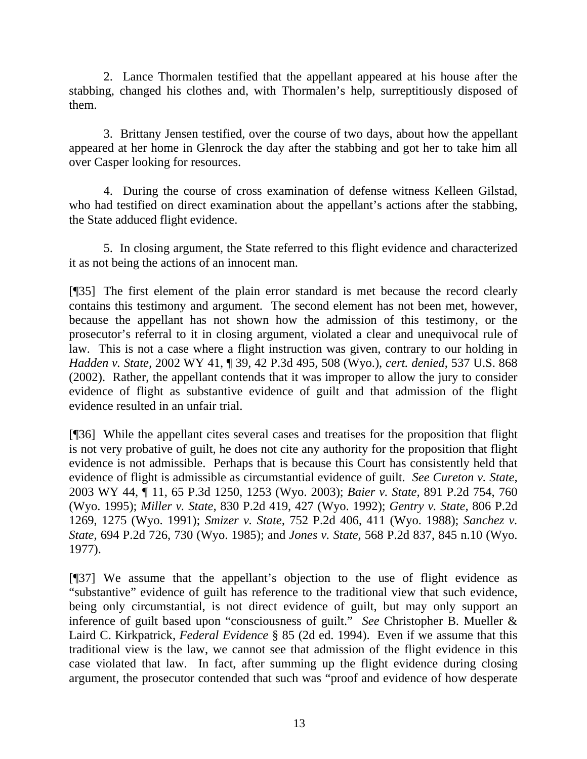2. Lance Thormalen testified that the appellant appeared at his house after the stabbing, changed his clothes and, with Thormalen's help, surreptitiously disposed of them.

 3. Brittany Jensen testified, over the course of two days, about how the appellant appeared at her home in Glenrock the day after the stabbing and got her to take him all over Casper looking for resources.

 4. During the course of cross examination of defense witness Kelleen Gilstad, who had testified on direct examination about the appellant's actions after the stabbing, the State adduced flight evidence.

 5. In closing argument, the State referred to this flight evidence and characterized it as not being the actions of an innocent man.

[¶35] The first element of the plain error standard is met because the record clearly contains this testimony and argument. The second element has not been met, however, because the appellant has not shown how the admission of this testimony, or the prosecutor's referral to it in closing argument, violated a clear and unequivocal rule of law. This is not a case where a flight instruction was given, contrary to our holding in *Hadden v. State,* 2002 WY 41, ¶ 39, 42 P.3d 495, 508 (Wyo.), *cert. denied*, 537 U.S. 868 (2002). Rather, the appellant contends that it was improper to allow the jury to consider evidence of flight as substantive evidence of guilt and that admission of the flight evidence resulted in an unfair trial.

[¶36] While the appellant cites several cases and treatises for the proposition that flight is not very probative of guilt, he does not cite any authority for the proposition that flight evidence is not admissible. Perhaps that is because this Court has consistently held that evidence of flight is admissible as circumstantial evidence of guilt. *See Cureton v. State,*  2003 WY 44, ¶ 11, 65 P.3d 1250, 1253 (Wyo. 2003); *Baier v. State,* 891 P.2d 754, 760 (Wyo. 1995); *Miller v. State,* 830 P.2d 419, 427 (Wyo. 1992); *Gentry v. State,* 806 P.2d 1269, 1275 (Wyo. 1991); *Smizer v. State,* 752 P.2d 406, 411 (Wyo. 1988); *Sanchez v. State,* 694 P.2d 726, 730 (Wyo. 1985); and *Jones v. State*, 568 P.2d 837, 845 n.10 (Wyo. 1977).

[¶37] We assume that the appellant's objection to the use of flight evidence as "substantive" evidence of guilt has reference to the traditional view that such evidence, being only circumstantial, is not direct evidence of guilt, but may only support an inference of guilt based upon "consciousness of guilt." *See* Christopher B. Mueller & Laird C. Kirkpatrick, *Federal Evidence* § 85 (2d ed. 1994). Even if we assume that this traditional view is the law, we cannot see that admission of the flight evidence in this case violated that law. In fact, after summing up the flight evidence during closing argument, the prosecutor contended that such was "proof and evidence of how desperate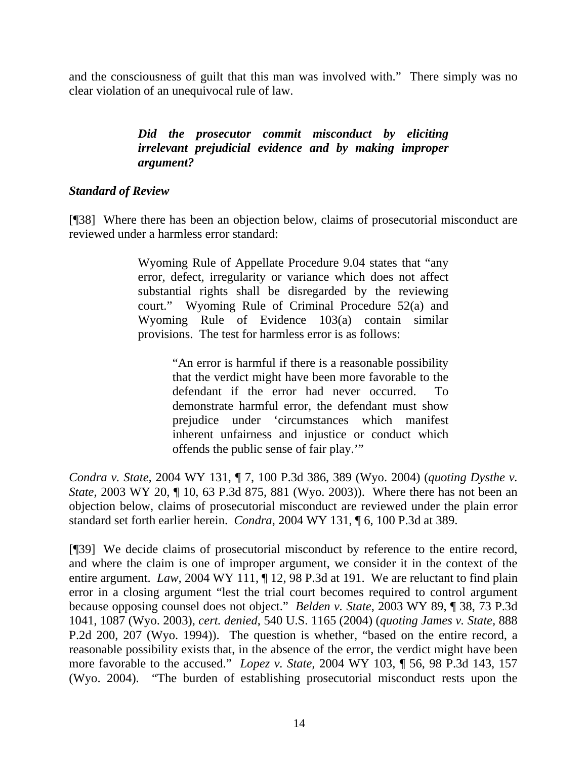and the consciousness of guilt that this man was involved with." There simply was no clear violation of an unequivocal rule of law.

# *Did the prosecutor commit misconduct by eliciting irrelevant prejudicial evidence and by making improper argument?*

# *Standard of Review*

[¶38] Where there has been an objection below, claims of prosecutorial misconduct are reviewed under a harmless error standard:

> Wyoming Rule of Appellate Procedure 9.04 states that "any error, defect, irregularity or variance which does not affect substantial rights shall be disregarded by the reviewing court." Wyoming Rule of Criminal Procedure 52(a) and Wyoming Rule of Evidence 103(a) contain similar provisions. The test for harmless error is as follows:

> > "An error is harmful if there is a reasonable possibility that the verdict might have been more favorable to the defendant if the error had never occurred. To demonstrate harmful error, the defendant must show prejudice under 'circumstances which manifest inherent unfairness and injustice or conduct which offends the public sense of fair play.'"

*Condra v. State,* 2004 WY 131, ¶ 7, 100 P.3d 386, 389 (Wyo. 2004) (*quoting Dysthe v. State,* 2003 WY 20, ¶ 10, 63 P.3d 875, 881 (Wyo. 2003)). Where there has not been an objection below, claims of prosecutorial misconduct are reviewed under the plain error standard set forth earlier herein. *Condra*, 2004 WY 131, ¶ 6, 100 P.3d at 389.

[¶39] We decide claims of prosecutorial misconduct by reference to the entire record, and where the claim is one of improper argument, we consider it in the context of the entire argument. *Law*, 2004 WY 111, ¶ 12, 98 P.3d at 191. We are reluctant to find plain error in a closing argument "lest the trial court becomes required to control argument because opposing counsel does not object." *Belden v. State*, 2003 WY 89, ¶ 38, 73 P.3d 1041, 1087 (Wyo. 2003), *cert. denied*, 540 U.S. 1165 (2004) (*quoting James v. State,* 888 P.2d 200, 207 (Wyo. 1994)). The question is whether, "based on the entire record, a reasonable possibility exists that, in the absence of the error, the verdict might have been more favorable to the accused." *Lopez v. State,* 2004 WY 103, ¶ 56, 98 P.3d 143, 157 (Wyo. 2004). "The burden of establishing prosecutorial misconduct rests upon the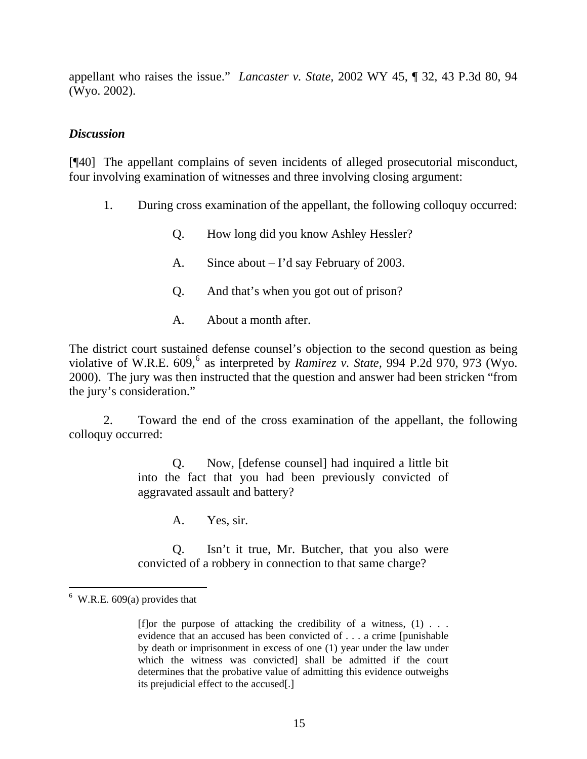appellant who raises the issue." *Lancaster v. State,* 2002 WY 45, ¶ 32, 43 P.3d 80, 94 (Wyo. 2002).

## *Discussion*

[¶40] The appellant complains of seven incidents of alleged prosecutorial misconduct, four involving examination of witnesses and three involving closing argument:

- 1. During cross examination of the appellant, the following colloquy occurred:
	- Q. How long did you know Ashley Hessler?
	- A. Since about I'd say February of 2003.
	- Q. And that's when you got out of prison?
	- A. About a month after.

The district court sustained defense counsel's objection to the second question as being violative of W.R.E. [6](#page-15-0)09,<sup>6</sup> as interpreted by *Ramirez v. State*, 994 P.2d 970, 973 (Wyo. 2000). The jury was then instructed that the question and answer had been stricken "from the jury's consideration."

 2. Toward the end of the cross examination of the appellant, the following colloquy occurred:

> Q. Now, [defense counsel] had inquired a little bit into the fact that you had been previously convicted of aggravated assault and battery?

> > A. Yes, sir.

Q. Isn't it true, Mr. Butcher, that you also were convicted of a robbery in connection to that same charge?

 $\overline{a}$ 

<span id="page-15-0"></span> $6$  W.R.E. 609(a) provides that

<sup>[</sup>f]or the purpose of attacking the credibility of a witness,  $(1)$ ... evidence that an accused has been convicted of . . . a crime [punishable by death or imprisonment in excess of one (1) year under the law under which the witness was convicted] shall be admitted if the court determines that the probative value of admitting this evidence outweighs its prejudicial effect to the accused[.]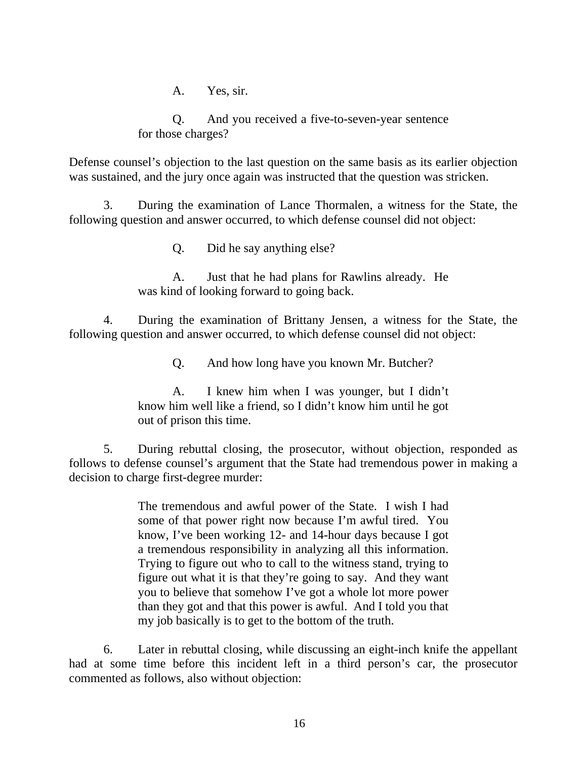A. Yes, sir.

Q. And you received a five-to-seven-year sentence for those charges?

Defense counsel's objection to the last question on the same basis as its earlier objection was sustained, and the jury once again was instructed that the question was stricken.

 3. During the examination of Lance Thormalen, a witness for the State, the following question and answer occurred, to which defense counsel did not object:

Q. Did he say anything else?

A. Just that he had plans for Rawlins already. He was kind of looking forward to going back.

 4. During the examination of Brittany Jensen, a witness for the State, the following question and answer occurred, to which defense counsel did not object:

Q. And how long have you known Mr. Butcher?

A. I knew him when I was younger, but I didn't know him well like a friend, so I didn't know him until he got out of prison this time.

 5. During rebuttal closing, the prosecutor, without objection, responded as follows to defense counsel's argument that the State had tremendous power in making a decision to charge first-degree murder:

> The tremendous and awful power of the State. I wish I had some of that power right now because I'm awful tired. You know, I've been working 12- and 14-hour days because I got a tremendous responsibility in analyzing all this information. Trying to figure out who to call to the witness stand, trying to figure out what it is that they're going to say. And they want you to believe that somehow I've got a whole lot more power than they got and that this power is awful. And I told you that my job basically is to get to the bottom of the truth.

 6. Later in rebuttal closing, while discussing an eight-inch knife the appellant had at some time before this incident left in a third person's car, the prosecutor commented as follows, also without objection: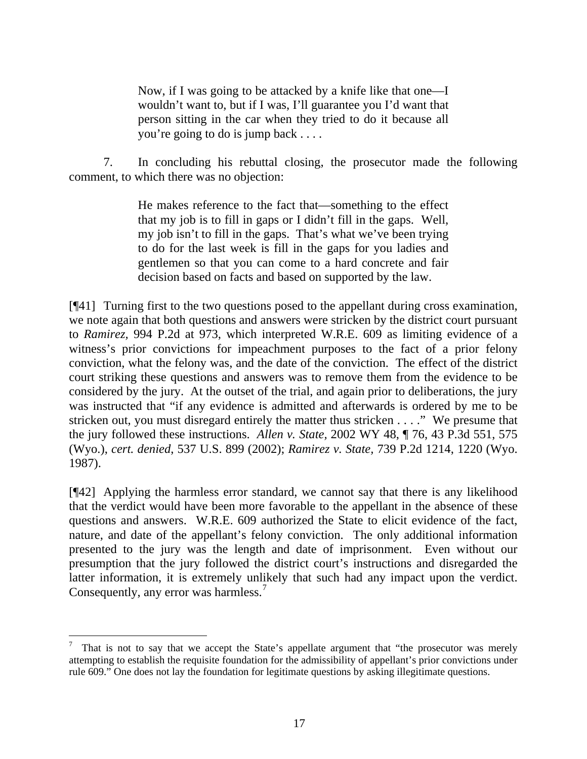Now, if I was going to be attacked by a knife like that one—I wouldn't want to, but if I was, I'll guarantee you I'd want that person sitting in the car when they tried to do it because all you're going to do is jump back . . . .

 7. In concluding his rebuttal closing, the prosecutor made the following comment, to which there was no objection:

> He makes reference to the fact that—something to the effect that my job is to fill in gaps or I didn't fill in the gaps. Well, my job isn't to fill in the gaps. That's what we've been trying to do for the last week is fill in the gaps for you ladies and gentlemen so that you can come to a hard concrete and fair decision based on facts and based on supported by the law.

[¶41] Turning first to the two questions posed to the appellant during cross examination, we note again that both questions and answers were stricken by the district court pursuant to *Ramirez,* 994 P.2d at 973, which interpreted W.R.E. 609 as limiting evidence of a witness's prior convictions for impeachment purposes to the fact of a prior felony conviction, what the felony was, and the date of the conviction. The effect of the district court striking these questions and answers was to remove them from the evidence to be considered by the jury. At the outset of the trial, and again prior to deliberations, the jury was instructed that "if any evidence is admitted and afterwards is ordered by me to be stricken out, you must disregard entirely the matter thus stricken . . . ." We presume that the jury followed these instructions. *Allen v. State,* 2002 WY 48, ¶ 76, 43 P.3d 551, 575 (Wyo.), *cert. denied*, 537 U.S. 899 (2002); *Ramirez v. State,* 739 P.2d 1214, 1220 (Wyo. 1987).

[¶42] Applying the harmless error standard, we cannot say that there is any likelihood that the verdict would have been more favorable to the appellant in the absence of these questions and answers. W.R.E. 609 authorized the State to elicit evidence of the fact, nature, and date of the appellant's felony conviction. The only additional information presented to the jury was the length and date of imprisonment. Even without our presumption that the jury followed the district court's instructions and disregarded the latter information, it is extremely unlikely that such had any impact upon the verdict. Consequently, any error was harmless.<sup>[7](#page-17-0)</sup>

l

<span id="page-17-0"></span><sup>7</sup> That is not to say that we accept the State's appellate argument that "the prosecutor was merely attempting to establish the requisite foundation for the admissibility of appellant's prior convictions under rule 609." One does not lay the foundation for legitimate questions by asking illegitimate questions.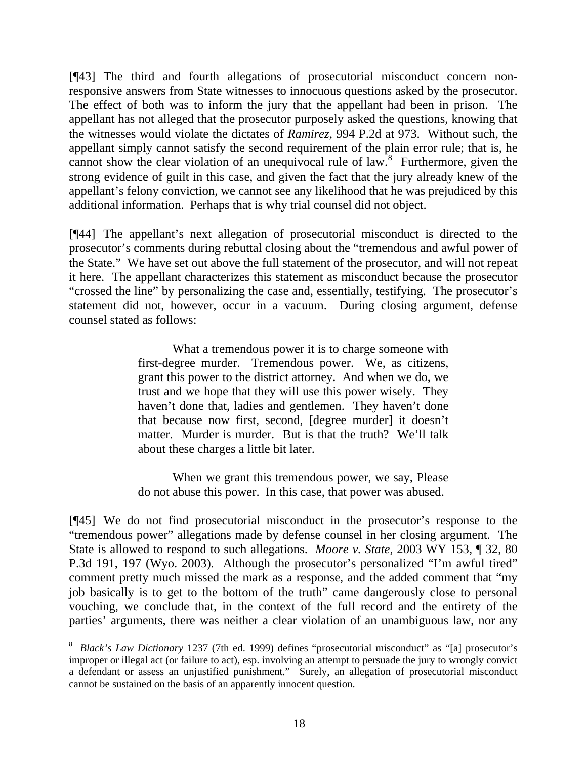[¶43] The third and fourth allegations of prosecutorial misconduct concern nonresponsive answers from State witnesses to innocuous questions asked by the prosecutor. The effect of both was to inform the jury that the appellant had been in prison. The appellant has not alleged that the prosecutor purposely asked the questions, knowing that the witnesses would violate the dictates of *Ramirez,* 994 P.2d at 973. Without such, the appellant simply cannot satisfy the second requirement of the plain error rule; that is, he cannot show the clear violation of an unequivocal rule of law.<sup>[8](#page-18-0)</sup> Furthermore, given the strong evidence of guilt in this case, and given the fact that the jury already knew of the appellant's felony conviction, we cannot see any likelihood that he was prejudiced by this additional information. Perhaps that is why trial counsel did not object.

[¶44] The appellant's next allegation of prosecutorial misconduct is directed to the prosecutor's comments during rebuttal closing about the "tremendous and awful power of the State." We have set out above the full statement of the prosecutor, and will not repeat it here. The appellant characterizes this statement as misconduct because the prosecutor "crossed the line" by personalizing the case and, essentially, testifying. The prosecutor's statement did not, however, occur in a vacuum. During closing argument, defense counsel stated as follows:

> What a tremendous power it is to charge someone with first-degree murder. Tremendous power. We, as citizens, grant this power to the district attorney. And when we do, we trust and we hope that they will use this power wisely. They haven't done that, ladies and gentlemen. They haven't done that because now first, second, [degree murder] it doesn't matter. Murder is murder. But is that the truth? We'll talk about these charges a little bit later.

> When we grant this tremendous power, we say, Please do not abuse this power. In this case, that power was abused.

[¶45] We do not find prosecutorial misconduct in the prosecutor's response to the "tremendous power" allegations made by defense counsel in her closing argument. The State is allowed to respond to such allegations. *Moore v. State,* 2003 WY 153, ¶ 32, 80 P.3d 191, 197 (Wyo. 2003). Although the prosecutor's personalized "I'm awful tired" comment pretty much missed the mark as a response, and the added comment that "my job basically is to get to the bottom of the truth" came dangerously close to personal vouching, we conclude that, in the context of the full record and the entirety of the parties' arguments, there was neither a clear violation of an unambiguous law, nor any

l

<span id="page-18-0"></span><sup>8</sup> *Black's Law Dictionary* 1237 (7th ed. 1999) defines "prosecutorial misconduct" as "[a] prosecutor's improper or illegal act (or failure to act), esp. involving an attempt to persuade the jury to wrongly convict a defendant or assess an unjustified punishment." Surely, an allegation of prosecutorial misconduct cannot be sustained on the basis of an apparently innocent question.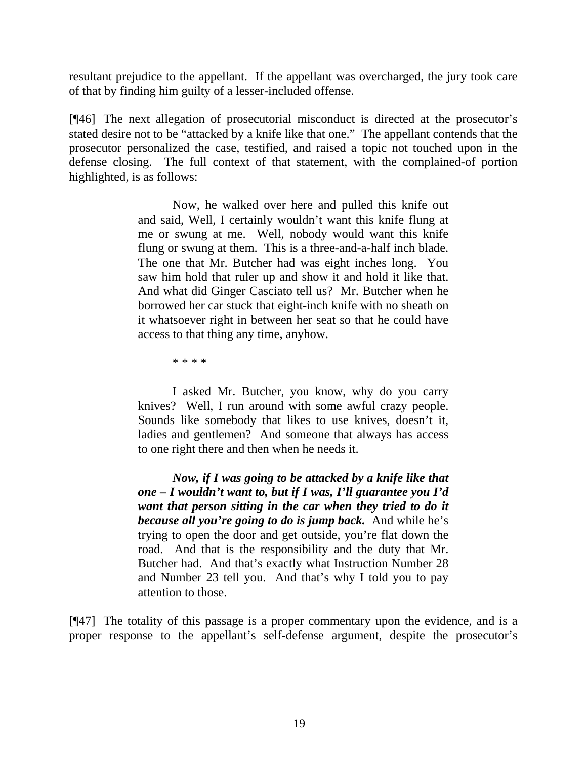resultant prejudice to the appellant. If the appellant was overcharged, the jury took care of that by finding him guilty of a lesser-included offense.

[¶46] The next allegation of prosecutorial misconduct is directed at the prosecutor's stated desire not to be "attacked by a knife like that one." The appellant contends that the prosecutor personalized the case, testified, and raised a topic not touched upon in the defense closing. The full context of that statement, with the complained-of portion highlighted, is as follows:

> Now, he walked over here and pulled this knife out and said, Well, I certainly wouldn't want this knife flung at me or swung at me. Well, nobody would want this knife flung or swung at them. This is a three-and-a-half inch blade. The one that Mr. Butcher had was eight inches long. You saw him hold that ruler up and show it and hold it like that. And what did Ginger Casciato tell us? Mr. Butcher when he borrowed her car stuck that eight-inch knife with no sheath on it whatsoever right in between her seat so that he could have access to that thing any time, anyhow.

> > \* \* \* \*

 I asked Mr. Butcher, you know, why do you carry knives? Well, I run around with some awful crazy people. Sounds like somebody that likes to use knives, doesn't it, ladies and gentlemen? And someone that always has access to one right there and then when he needs it.

*Now, if I was going to be attacked by a knife like that one – I wouldn't want to, but if I was, I'll guarantee you I'd want that person sitting in the car when they tried to do it because all you're going to do is jump back.* And while he's trying to open the door and get outside, you're flat down the road. And that is the responsibility and the duty that Mr. Butcher had. And that's exactly what Instruction Number 28 and Number 23 tell you. And that's why I told you to pay attention to those.

[¶47] The totality of this passage is a proper commentary upon the evidence, and is a proper response to the appellant's self-defense argument, despite the prosecutor's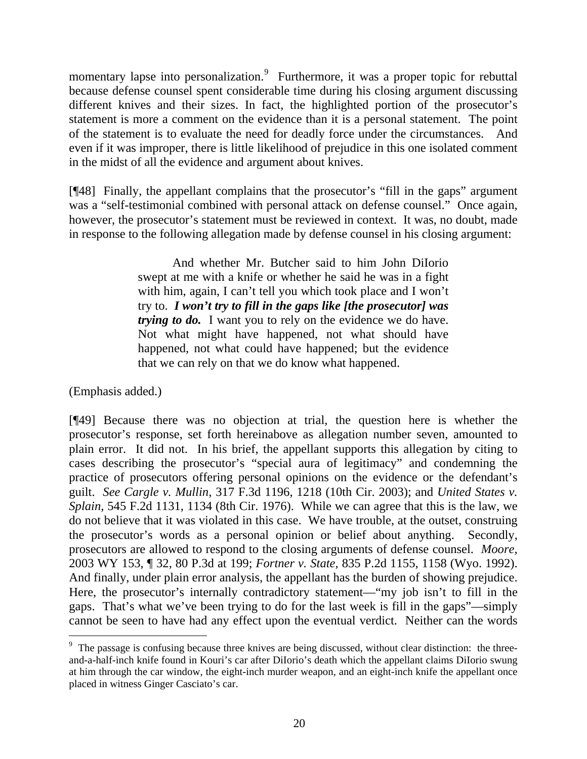momentary lapse into personalization.<sup>[9](#page-20-0)</sup> Furthermore, it was a proper topic for rebuttal because defense counsel spent considerable time during his closing argument discussing different knives and their sizes. In fact, the highlighted portion of the prosecutor's statement is more a comment on the evidence than it is a personal statement. The point of the statement is to evaluate the need for deadly force under the circumstances. And even if it was improper, there is little likelihood of prejudice in this one isolated comment in the midst of all the evidence and argument about knives.

[¶48] Finally, the appellant complains that the prosecutor's "fill in the gaps" argument was a "self-testimonial combined with personal attack on defense counsel." Once again, however, the prosecutor's statement must be reviewed in context. It was, no doubt, made in response to the following allegation made by defense counsel in his closing argument:

> And whether Mr. Butcher said to him John DiIorio swept at me with a knife or whether he said he was in a fight with him, again, I can't tell you which took place and I won't try to. *I won't try to fill in the gaps like [the prosecutor] was trying to do.* I want you to rely on the evidence we do have. Not what might have happened, not what should have happened, not what could have happened; but the evidence that we can rely on that we do know what happened.

(Emphasis added.)

l

[¶49] Because there was no objection at trial, the question here is whether the prosecutor's response, set forth hereinabove as allegation number seven, amounted to plain error. It did not. In his brief, the appellant supports this allegation by citing to cases describing the prosecutor's "special aura of legitimacy" and condemning the practice of prosecutors offering personal opinions on the evidence or the defendant's guilt. *See Cargle v. Mullin*, 317 F.3d 1196, 1218 (10th Cir. 2003); and *United States v. Splain,* 545 F.2d 1131, 1134 (8th Cir. 1976). While we can agree that this is the law, we do not believe that it was violated in this case. We have trouble, at the outset, construing the prosecutor's words as a personal opinion or belief about anything. Secondly, prosecutors are allowed to respond to the closing arguments of defense counsel. *Moore,*  2003 WY 153, ¶ 32, 80 P.3d at 199; *Fortner v. State,* 835 P.2d 1155, 1158 (Wyo. 1992). And finally, under plain error analysis, the appellant has the burden of showing prejudice. Here, the prosecutor's internally contradictory statement—"my job isn't to fill in the gaps. That's what we've been trying to do for the last week is fill in the gaps"—simply cannot be seen to have had any effect upon the eventual verdict. Neither can the words

<span id="page-20-0"></span><sup>&</sup>lt;sup>9</sup> The passage is confusing because three knives are being discussed, without clear distinction: the threeand-a-half-inch knife found in Kouri's car after DiIorio's death which the appellant claims DiIorio swung at him through the car window, the eight-inch murder weapon, and an eight-inch knife the appellant once placed in witness Ginger Casciato's car.